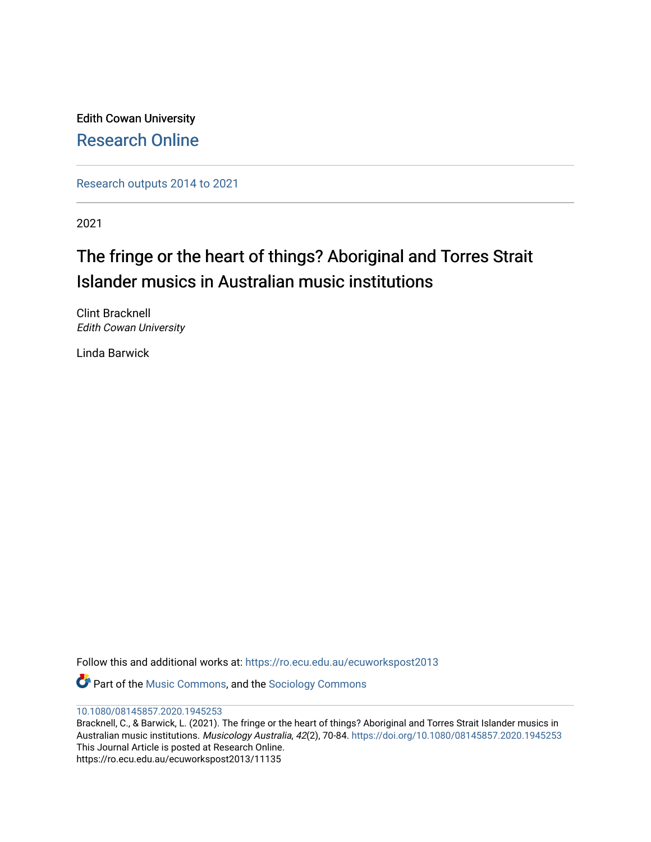Edith Cowan University [Research Online](https://ro.ecu.edu.au/) 

[Research outputs 2014 to 2021](https://ro.ecu.edu.au/ecuworkspost2013) 

2021

# The fringe or the heart of things? Aboriginal and Torres Strait Islander musics in Australian music institutions

Clint Bracknell Edith Cowan University

Linda Barwick

Follow this and additional works at: [https://ro.ecu.edu.au/ecuworkspost2013](https://ro.ecu.edu.au/ecuworkspost2013?utm_source=ro.ecu.edu.au%2Fecuworkspost2013%2F11135&utm_medium=PDF&utm_campaign=PDFCoverPages) 

**P** Part of the [Music Commons,](http://network.bepress.com/hgg/discipline/518?utm_source=ro.ecu.edu.au%2Fecuworkspost2013%2F11135&utm_medium=PDF&utm_campaign=PDFCoverPages) and the Sociology Commons

### [10.1080/08145857.2020.1945253](http://dx.doi.org/10.1080/08145857.2020.1945253)

Bracknell, C., & Barwick, L. (2021). The fringe or the heart of things? Aboriginal and Torres Strait Islander musics in Australian music institutions. Musicology Australia, 42(2), 70-84. <https://doi.org/10.1080/08145857.2020.1945253> This Journal Article is posted at Research Online. https://ro.ecu.edu.au/ecuworkspost2013/11135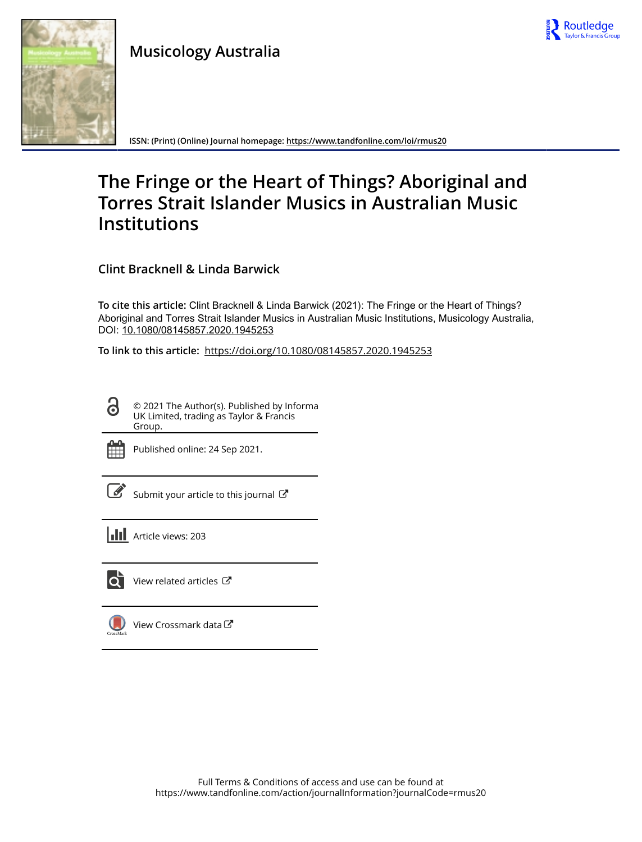

## **Musicology Australia**



**ISSN: (Print) (Online) Journal homepage:<https://www.tandfonline.com/loi/rmus20>**

# **The Fringe or the Heart of Things? Aboriginal and Torres Strait Islander Musics in Australian Music Institutions**

**Clint Bracknell & Linda Barwick**

**To cite this article:** Clint Bracknell & Linda Barwick (2021): The Fringe or the Heart of Things? Aboriginal and Torres Strait Islander Musics in Australian Music Institutions, Musicology Australia, DOI: [10.1080/08145857.2020.1945253](https://www.tandfonline.com/action/showCitFormats?doi=10.1080/08145857.2020.1945253)

**To link to this article:** <https://doi.org/10.1080/08145857.2020.1945253>

© 2021 The Author(s). Published by Informa UK Limited, trading as Taylor & Francis Group.



 $\bullet$ 

Published online: 24 Sep 2021.

[Submit your article to this journal](https://www.tandfonline.com/action/authorSubmission?journalCode=rmus20&show=instructions)  $\mathbb{Z}$ 

**Article views: 203** 



 $\overrightarrow{Q}$  [View related articles](https://www.tandfonline.com/doi/mlt/10.1080/08145857.2020.1945253)  $\overrightarrow{C}$ 

[View Crossmark data](http://crossmark.crossref.org/dialog/?doi=10.1080/08145857.2020.1945253&domain=pdf&date_stamp=2021-09-24) $\bm{\mathcal{C}}$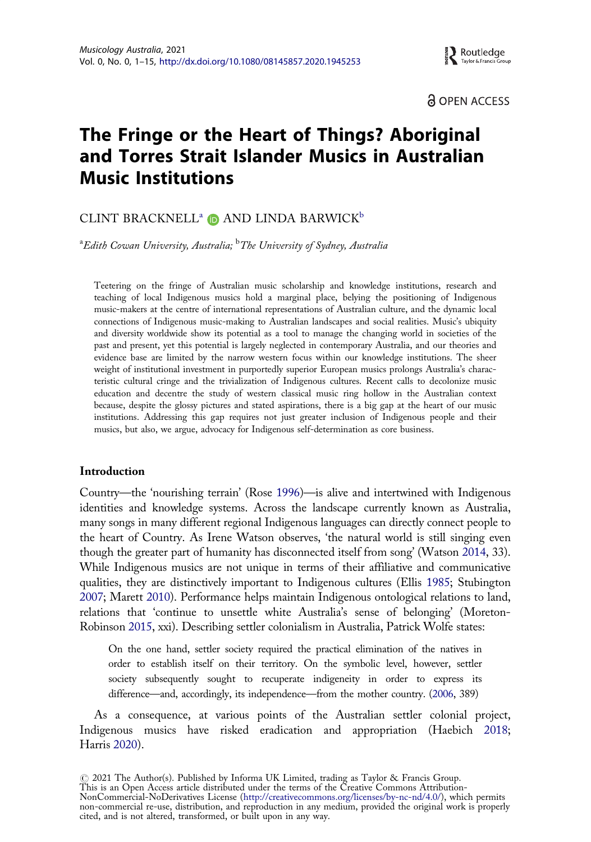

ခါ OPEN ACCESS

### <span id="page-2-0"></span>The Fringe or the Heart of Things? Aboriginal and Torres Strait Islander Musics in Australian Music Institutions

### CLINT BRACKNELL<sup>a</sup>  $\bullet$  AND LINDA BARWICK<sup>b</sup>

 $\mathrm{a}_{E}$ dith Cowan University, Australia;  $\mathrm{^{b} The}$  University of Sydney, Australia

Teetering on the fringe of Australian music scholarship and knowledge institutions, research and teaching of local Indigenous musics hold a marginal place, belying the positioning of Indigenous music-makers at the centre of international representations of Australian culture, and the dynamic local connections of Indigenous music-making to Australian landscapes and social realities. Music's ubiquity and diversity worldwide show its potential as a tool to manage the changing world in societies of the past and present, yet this potential is largely neglected in contemporary Australia, and our theories and evidence base are limited by the narrow western focus within our knowledge institutions. The sheer weight of institutional investment in purportedly superior European musics prolongs Australia's characteristic cultural cringe and the trivialization of Indigenous cultures. Recent calls to decolonize music education and decentre the study of western classical music ring hollow in the Australian context because, despite the glossy pictures and stated aspirations, there is a big gap at the heart of our music institutions. Addressing this gap requires not just greater inclusion of Indigenous people and their musics, but also, we argue, advocacy for Indigenous self-determination as core business.

#### Introduction

Country—the 'nourishing terrain' (Rose [1996](#page-15-0))—is alive and intertwined with Indigenous identities and knowledge systems. Across the landscape currently known as Australia, many songs in many different regional Indigenous languages can directly connect people to the heart of Country. As Irene Watson observes, 'the natural world is still singing even though the greater part of humanity has disconnected itself from song' (Watson [2014,](#page-15-0) 33). While Indigenous musics are not unique in terms of their affiliative and communicative qualities, they are distinctively important to Indigenous cultures (Ellis [1985;](#page-13-0) Stubington [2007](#page-15-0); Marett [2010\)](#page-14-0). Performance helps maintain Indigenous ontological relations to land, relations that 'continue to unsettle white Australia's sense of belonging' (Moreton-Robinson [2015,](#page-14-0) xxi). Describing settler colonialism in Australia, Patrick Wolfe states:

On the one hand, settler society required the practical elimination of the natives in order to establish itself on their territory. On the symbolic level, however, settler society subsequently sought to recuperate indigeneity in order to express its difference—and, accordingly, its independence—from the mother country. [\(2006](#page-16-0), 389)

As a consequence, at various points of the Australian settler colonial project, Indigenous musics have risked eradication and appropriation (Haebich [2018;](#page-13-0) Harris [2020\)](#page-13-0).

# 2021 The Author(s). Published by Informa UK Limited, trading as Taylor & Francis Group. This is an Open Access article distributed under the terms of the Creative Commons Attribution-NonCommercial-NoDerivatives License (http://creativecommons.org/licenses/by-nc-nd/4.0/), which permits non-commercial re-use, distribution, and reproduction in any medium, provided the original work is properly cited, and is not altered, transformed, or built upon in any way.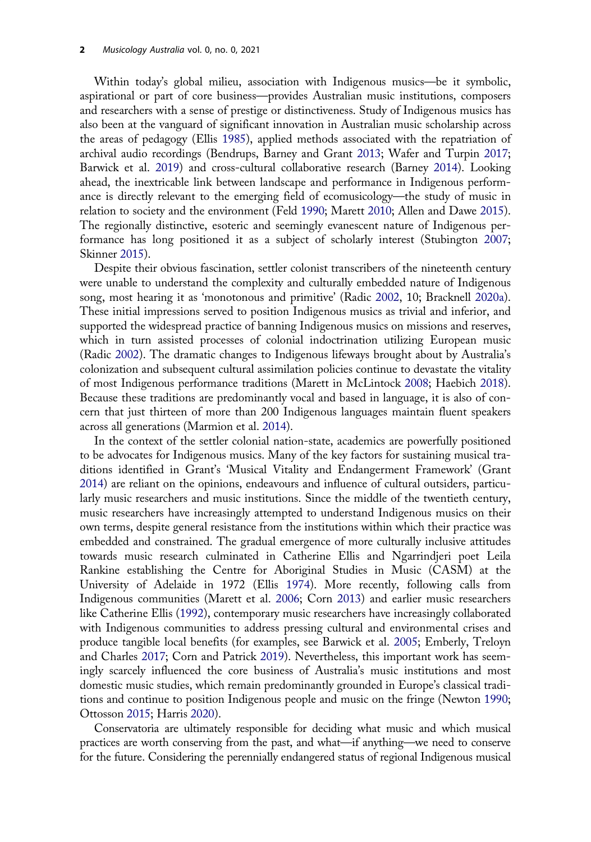<span id="page-3-0"></span>Within today's global milieu, association with Indigenous musics—be it symbolic, aspirational or part of core business—provides Australian music institutions, composers and researchers with a sense of prestige or distinctiveness. Study of Indigenous musics has also been at the vanguard of significant innovation in Australian music scholarship across the areas of pedagogy (Ellis [1985](#page-13-0)), applied methods associated with the repatriation of archival audio recordings (Bendrups, Barney and Grant [2013](#page-12-0); Wafer and Turpin [2017](#page-15-0); Barwick et al. [2019\)](#page-12-0) and cross-cultural collaborative research (Barney [2014](#page-11-0)). Looking ahead, the inextricable link between landscape and performance in Indigenous performance is directly relevant to the emerging field of ecomusicology—the study of music in relation to society and the environment (Feld [1990;](#page-13-0) Marett [2010;](#page-14-0) Allen and Dawe [2015\)](#page-11-0). The regionally distinctive, esoteric and seemingly evanescent nature of Indigenous performance has long positioned it as a subject of scholarly interest (Stubington [2007](#page-15-0); Skinner [2015](#page-15-0)).

Despite their obvious fascination, settler colonist transcribers of the nineteenth century were unable to understand the complexity and culturally embedded nature of Indigenous song, most hearing it as 'monotonous and primitive' (Radic [2002](#page-15-0), 10; Bracknell [2020a\)](#page-12-0). These initial impressions served to position Indigenous musics as trivial and inferior, and supported the widespread practice of banning Indigenous musics on missions and reserves, which in turn assisted processes of colonial indoctrination utilizing European music (Radic [2002](#page-15-0)). The dramatic changes to Indigenous lifeways brought about by Australia's colonization and subsequent cultural assimilation policies continue to devastate the vitality of most Indigenous performance traditions (Marett in McLintock [2008;](#page-14-0) Haebich [2018\)](#page-13-0). Because these traditions are predominantly vocal and based in language, it is also of concern that just thirteen of more than 200 Indigenous languages maintain fluent speakers across all generations (Marmion et al. [2014\)](#page-14-0).

In the context of the settler colonial nation-state, academics are powerfully positioned to be advocates for Indigenous musics. Many of the key factors for sustaining musical traditions identified in Grant's 'Musical Vitality and Endangerment Framework' (Grant [2014](#page-13-0)) are reliant on the opinions, endeavours and influence of cultural outsiders, particularly music researchers and music institutions. Since the middle of the twentieth century, music researchers have increasingly attempted to understand Indigenous musics on their own terms, despite general resistance from the institutions within which their practice was embedded and constrained. The gradual emergence of more culturally inclusive attitudes towards music research culminated in Catherine Ellis and Ngarrindjeri poet Leila Rankine establishing the Centre for Aboriginal Studies in Music (CASM) at the University of Adelaide in 1972 (Ellis [1974\)](#page-13-0). More recently, following calls from Indigenous communities (Marett et al. [2006](#page-14-0); Corn [2013](#page-12-0)) and earlier music researchers like Catherine Ellis [\(1992\)](#page-13-0), contemporary music researchers have increasingly collaborated with Indigenous communities to address pressing cultural and environmental crises and produce tangible local benefits (for examples, see Barwick et al. [2005;](#page-12-0) Emberly, Treloyn and Charles [2017](#page-13-0); Corn and Patrick [2019](#page-12-0)). Nevertheless, this important work has seemingly scarcely influenced the core business of Australia's music institutions and most domestic music studies, which remain predominantly grounded in Europe's classical traditions and continue to position Indigenous people and music on the fringe (Newton [1990](#page-14-0); Ottosson [2015;](#page-14-0) Harris [2020\)](#page-13-0).

Conservatoria are ultimately responsible for deciding what music and which musical practices are worth conserving from the past, and what—if anything—we need to conserve for the future. Considering the perennially endangered status of regional Indigenous musical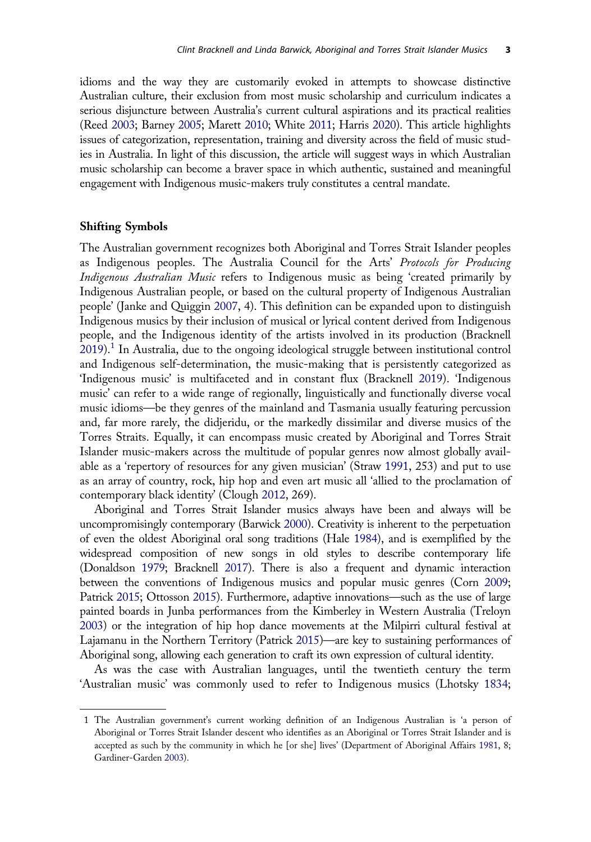<span id="page-4-0"></span>idioms and the way they are customarily evoked in attempts to showcase distinctive Australian culture, their exclusion from most music scholarship and curriculum indicates a serious disjuncture between Australia's current cultural aspirations and its practical realities (Reed [2003;](#page-15-0) Barney [2005](#page-11-0); Marett [2010;](#page-14-0) White [2011](#page-16-0); Harris [2020\)](#page-13-0). This article highlights issues of categorization, representation, training and diversity across the field of music studies in Australia. In light of this discussion, the article will suggest ways in which Australian music scholarship can become a braver space in which authentic, sustained and meaningful engagement with Indigenous music-makers truly constitutes a central mandate.

#### Shifting Symbols

The Australian government recognizes both Aboriginal and Torres Strait Islander peoples as Indigenous peoples. The Australia Council for the Arts' Protocols for Producing Indigenous Australian Music refers to Indigenous music as being 'created primarily by Indigenous Australian people, or based on the cultural property of Indigenous Australian people' (Janke and Quiggin [2007](#page-13-0), 4). This definition can be expanded upon to distinguish Indigenous musics by their inclusion of musical or lyrical content derived from Indigenous people, and the Indigenous identity of the artists involved in its production (Bracknell [2019](#page-12-0)).<sup>1</sup> In Australia, due to the ongoing ideological struggle between institutional control and Indigenous self-determination, the music-making that is persistently categorized as 'Indigenous music' is multifaceted and in constant flux (Bracknell [2019\)](#page-12-0). 'Indigenous music' can refer to a wide range of regionally, linguistically and functionally diverse vocal music idioms—be they genres of the mainland and Tasmania usually featuring percussion and, far more rarely, the didjeridu, or the markedly dissimilar and diverse musics of the Torres Straits. Equally, it can encompass music created by Aboriginal and Torres Strait Islander music-makers across the multitude of popular genres now almost globally available as a 'repertory of resources for any given musician' (Straw [1991](#page-15-0), 253) and put to use as an array of country, rock, hip hop and even art music all 'allied to the proclamation of contemporary black identity' (Clough [2012](#page-12-0), 269).

Aboriginal and Torres Strait Islander musics always have been and always will be uncompromisingly contemporary (Barwick [2000](#page-11-0)). Creativity is inherent to the perpetuation of even the oldest Aboriginal oral song traditions (Hale [1984\)](#page-13-0), and is exemplified by the widespread composition of new songs in old styles to describe contemporary life (Donaldson [1979;](#page-13-0) Bracknell [2017](#page-12-0)). There is also a frequent and dynamic interaction between the conventions of Indigenous musics and popular music genres (Corn [2009](#page-12-0); Patrick [2015;](#page-15-0) Ottosson [2015\)](#page-14-0). Furthermore, adaptive innovations—such as the use of large painted boards in Junba performances from the Kimberley in Western Australia (Treloyn [2003](#page-15-0)) or the integration of hip hop dance movements at the Milpirri cultural festival at Lajamanu in the Northern Territory (Patrick [2015\)](#page-15-0)—are key to sustaining performances of Aboriginal song, allowing each generation to craft its own expression of cultural identity.

As was the case with Australian languages, until the twentieth century the term 'Australian music' was commonly used to refer to Indigenous musics (Lhotsky [1834](#page-14-0);

<sup>1</sup> The Australian government's current working definition of an Indigenous Australian is 'a person of Aboriginal or Torres Strait Islander descent who identifies as an Aboriginal or Torres Strait Islander and is accepted as such by the community in which he [or she] lives' (Department of Aboriginal Affairs 1981, 8; Gardiner-Garden [2003](#page-13-0)).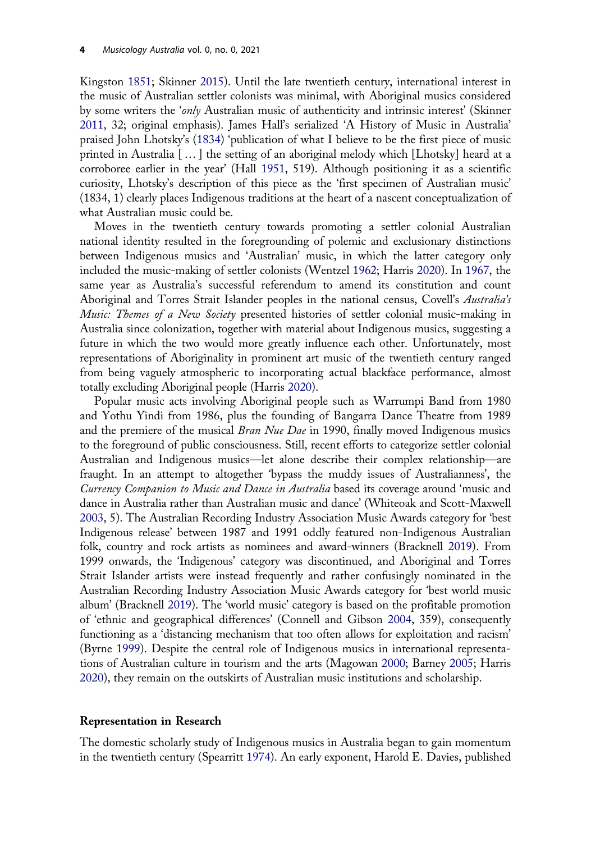<span id="page-5-0"></span>Kingston [1851;](#page-14-0) Skinner [2015\)](#page-15-0). Until the late twentieth century, international interest in the music of Australian settler colonists was minimal, with Aboriginal musics considered by some writers the 'only Australian music of authenticity and intrinsic interest' (Skinner [2011](#page-15-0), 32; original emphasis). James Hall's serialized 'A History of Music in Australia' praised John Lhotsky's [\(1834](#page-14-0)) 'publication of what I believe to be the first piece of music printed in Australia […] the setting of an aboriginal melody which [Lhotsky] heard at a corroboree earlier in the year' (Hall [1951,](#page-13-0) 519). Although positioning it as a scientific curiosity, Lhotsky's description of this piece as the 'first specimen of Australian music' (1834, 1) clearly places Indigenous traditions at the heart of a nascent conceptualization of what Australian music could be.

Moves in the twentieth century towards promoting a settler colonial Australian national identity resulted in the foregrounding of polemic and exclusionary distinctions between Indigenous musics and 'Australian' music, in which the latter category only included the music-making of settler colonists (Wentzel [1962](#page-15-0); Harris [2020](#page-13-0)). In [1967](#page-12-0), the same year as Australia's successful referendum to amend its constitution and count Aboriginal and Torres Strait Islander peoples in the national census, Covell's Australia's Music: Themes of a New Society presented histories of settler colonial music-making in Australia since colonization, together with material about Indigenous musics, suggesting a future in which the two would more greatly influence each other. Unfortunately, most representations of Aboriginality in prominent art music of the twentieth century ranged from being vaguely atmospheric to incorporating actual blackface performance, almost totally excluding Aboriginal people (Harris [2020](#page-13-0)).

Popular music acts involving Aboriginal people such as Warrumpi Band from 1980 and Yothu Yindi from 1986, plus the founding of Bangarra Dance Theatre from 1989 and the premiere of the musical *Bran Nue Dae* in 1990, finally moved Indigenous musics to the foreground of public consciousness. Still, recent efforts to categorize settler colonial Australian and Indigenous musics—let alone describe their complex relationship—are fraught. In an attempt to altogether 'bypass the muddy issues of Australianness', the Currency Companion to Music and Dance in Australia based its coverage around 'music and dance in Australia rather than Australian music and dance' (Whiteoak and Scott-Maxwell [2003](#page-16-0), 5). The Australian Recording Industry Association Music Awards category for 'best Indigenous release' between 1987 and 1991 oddly featured non-Indigenous Australian folk, country and rock artists as nominees and award-winners (Bracknell [2019](#page-12-0)). From 1999 onwards, the 'Indigenous' category was discontinued, and Aboriginal and Torres Strait Islander artists were instead frequently and rather confusingly nominated in the Australian Recording Industry Association Music Awards category for 'best world music album' (Bracknell [2019\)](#page-12-0). The 'world music' category is based on the profitable promotion of 'ethnic and geographical differences' (Connell and Gibson [2004,](#page-12-0) 359), consequently functioning as a 'distancing mechanism that too often allows for exploitation and racism' (Byrne [1999\)](#page-12-0). Despite the central role of Indigenous musics in international representations of Australian culture in tourism and the arts (Magowan [2000](#page-14-0); Barney [2005](#page-11-0); Harris [2020](#page-13-0)), they remain on the outskirts of Australian music institutions and scholarship.

#### Representation in Research

The domestic scholarly study of Indigenous musics in Australia began to gain momentum in the twentieth century (Spearritt [1974\)](#page-15-0). An early exponent, Harold E. Davies, published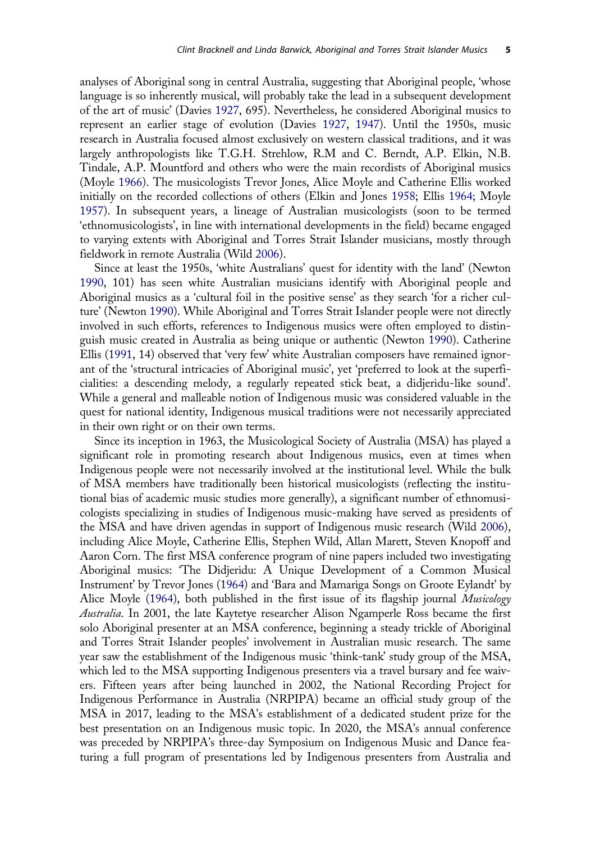<span id="page-6-0"></span>analyses of Aboriginal song in central Australia, suggesting that Aboriginal people, 'whose language is so inherently musical, will probably take the lead in a subsequent development of the art of music' (Davies [1927,](#page-13-0) 695). Nevertheless, he considered Aboriginal musics to represent an earlier stage of evolution (Davies [1927](#page-13-0), [1947\)](#page-13-0). Until the 1950s, music research in Australia focused almost exclusively on western classical traditions, and it was largely anthropologists like T.G.H. Strehlow, R.M and C. Berndt, A.P. Elkin, N.B. Tindale, A.P. Mountford and others who were the main recordists of Aboriginal musics (Moyle [1966\)](#page-14-0). The musicologists Trevor Jones, Alice Moyle and Catherine Ellis worked initially on the recorded collections of others (Elkin and Jones [1958;](#page-13-0) Ellis [1964;](#page-13-0) Moyle [1957](#page-14-0)). In subsequent years, a lineage of Australian musicologists (soon to be termed 'ethnomusicologists', in line with international developments in the field) became engaged to varying extents with Aboriginal and Torres Strait Islander musicians, mostly through fieldwork in remote Australia (Wild [2006](#page-16-0)).

Since at least the 1950s, 'white Australians' quest for identity with the land' (Newton [1990](#page-14-0), 101) has seen white Australian musicians identify with Aboriginal people and Aboriginal musics as a 'cultural foil in the positive sense' as they search 'for a richer culture' (Newton [1990\)](#page-14-0). While Aboriginal and Torres Strait Islander people were not directly involved in such efforts, references to Indigenous musics were often employed to distinguish music created in Australia as being unique or authentic (Newton [1990\)](#page-14-0). Catherine Ellis ([1991](#page-13-0), 14) observed that 'very few' white Australian composers have remained ignorant of the 'structural intricacies of Aboriginal music', yet 'preferred to look at the superficialities: a descending melody, a regularly repeated stick beat, a didjeridu-like sound'. While a general and malleable notion of Indigenous music was considered valuable in the quest for national identity, Indigenous musical traditions were not necessarily appreciated in their own right or on their own terms.

Since its inception in 1963, the Musicological Society of Australia (MSA) has played a significant role in promoting research about Indigenous musics, even at times when Indigenous people were not necessarily involved at the institutional level. While the bulk of MSA members have traditionally been historical musicologists (reflecting the institutional bias of academic music studies more generally), a significant number of ethnomusicologists specializing in studies of Indigenous music-making have served as presidents of the MSA and have driven agendas in support of Indigenous music research (Wild [2006\)](#page-16-0), including Alice Moyle, Catherine Ellis, Stephen Wild, Allan Marett, Steven Knopoff and Aaron Corn. The first MSA conference program of nine papers included two investigating Aboriginal musics: 'The Didjeridu: A Unique Development of a Common Musical Instrument' by Trevor Jones [\(1964\)](#page-14-0) and 'Bara and Mamariga Songs on Groote Eylandt' by Alice Moyle ([1964\)](#page-14-0), both published in the first issue of its flagship journal *Musicology* Australia. In 2001, the late Kaytetye researcher Alison Ngamperle Ross became the first solo Aboriginal presenter at an MSA conference, beginning a steady trickle of Aboriginal and Torres Strait Islander peoples' involvement in Australian music research. The same year saw the establishment of the Indigenous music 'think-tank' study group of the MSA, which led to the MSA supporting Indigenous presenters via a travel bursary and fee waivers. Fifteen years after being launched in 2002, the National Recording Project for Indigenous Performance in Australia (NRPIPA) became an official study group of the MSA in 2017, leading to the MSA's establishment of a dedicated student prize for the best presentation on an Indigenous music topic. In 2020, the MSA's annual conference was preceded by NRPIPA's three-day Symposium on Indigenous Music and Dance featuring a full program of presentations led by Indigenous presenters from Australia and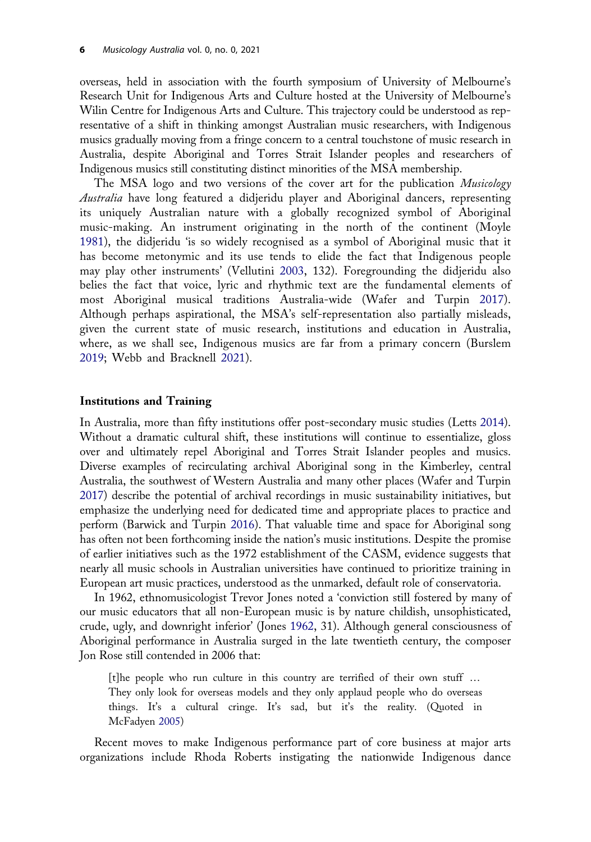<span id="page-7-0"></span>overseas, held in association with the fourth symposium of University of Melbourne's Research Unit for Indigenous Arts and Culture hosted at the University of Melbourne's Wilin Centre for Indigenous Arts and Culture. This trajectory could be understood as representative of a shift in thinking amongst Australian music researchers, with Indigenous musics gradually moving from a fringe concern to a central touchstone of music research in Australia, despite Aboriginal and Torres Strait Islander peoples and researchers of Indigenous musics still constituting distinct minorities of the MSA membership.

The MSA logo and two versions of the cover art for the publication Musicology Australia have long featured a didjeridu player and Aboriginal dancers, representing its uniquely Australian nature with a globally recognized symbol of Aboriginal music-making. An instrument originating in the north of the continent (Moyle [1981\)](#page-14-0), the didjeridu 'is so widely recognised as a symbol of Aboriginal music that it has become metonymic and its use tends to elide the fact that Indigenous people may play other instruments' (Vellutini [2003,](#page-15-0) 132). Foregrounding the didjeridu also belies the fact that voice, lyric and rhythmic text are the fundamental elements of most Aboriginal musical traditions Australia-wide (Wafer and Turpin [2017\)](#page-15-0). Although perhaps aspirational, the MSA's self-representation also partially misleads, given the current state of music research, institutions and education in Australia, where, as we shall see, Indigenous musics are far from a primary concern (Burslem [2019;](#page-12-0) Webb and Bracknell [2021\)](#page-15-0).

#### Institutions and Training

In Australia, more than fifty institutions offer post-secondary music studies (Letts [2014\)](#page-14-0). Without a dramatic cultural shift, these institutions will continue to essentialize, gloss over and ultimately repel Aboriginal and Torres Strait Islander peoples and musics. Diverse examples of recirculating archival Aboriginal song in the Kimberley, central Australia, the southwest of Western Australia and many other places (Wafer and Turpin [2017](#page-15-0)) describe the potential of archival recordings in music sustainability initiatives, but emphasize the underlying need for dedicated time and appropriate places to practice and perform (Barwick and Turpin [2016](#page-12-0)). That valuable time and space for Aboriginal song has often not been forthcoming inside the nation's music institutions. Despite the promise of earlier initiatives such as the 1972 establishment of the CASM, evidence suggests that nearly all music schools in Australian universities have continued to prioritize training in European art music practices, understood as the unmarked, default role of conservatoria.

In 1962, ethnomusicologist Trevor Jones noted a 'conviction still fostered by many of our music educators that all non-European music is by nature childish, unsophisticated, crude, ugly, and downright inferior' (Jones [1962](#page-14-0), 31). Although general consciousness of Aboriginal performance in Australia surged in the late twentieth century, the composer Jon Rose still contended in 2006 that:

[t]he people who run culture in this country are terrified of their own stuff … They only look for overseas models and they only applaud people who do overseas things. It's a cultural cringe. It's sad, but it's the reality. (Quoted in McFadyen [2005\)](#page-14-0)

Recent moves to make Indigenous performance part of core business at major arts organizations include Rhoda Roberts instigating the nationwide Indigenous dance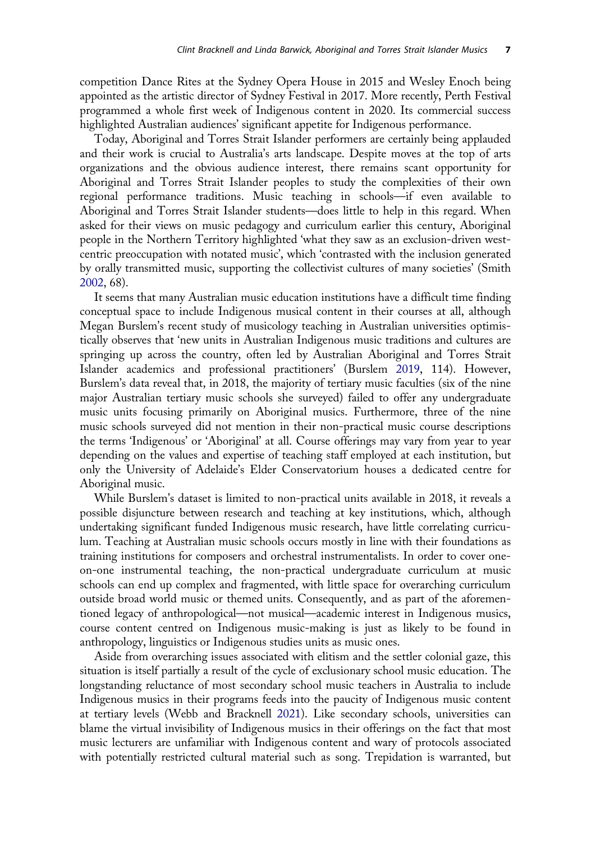<span id="page-8-0"></span>competition Dance Rites at the Sydney Opera House in 2015 and Wesley Enoch being appointed as the artistic director of Sydney Festival in 2017. More recently, Perth Festival programmed a whole first week of Indigenous content in 2020. Its commercial success highlighted Australian audiences' significant appetite for Indigenous performance.

Today, Aboriginal and Torres Strait Islander performers are certainly being applauded and their work is crucial to Australia's arts landscape. Despite moves at the top of arts organizations and the obvious audience interest, there remains scant opportunity for Aboriginal and Torres Strait Islander peoples to study the complexities of their own regional performance traditions. Music teaching in schools—if even available to Aboriginal and Torres Strait Islander students—does little to help in this regard. When asked for their views on music pedagogy and curriculum earlier this century, Aboriginal people in the Northern Territory highlighted 'what they saw as an exclusion-driven westcentric preoccupation with notated music', which 'contrasted with the inclusion generated by orally transmitted music, supporting the collectivist cultures of many societies' (Smith [2002](#page-15-0), 68).

It seems that many Australian music education institutions have a difficult time finding conceptual space to include Indigenous musical content in their courses at all, although Megan Burslem's recent study of musicology teaching in Australian universities optimistically observes that 'new units in Australian Indigenous music traditions and cultures are springing up across the country, often led by Australian Aboriginal and Torres Strait Islander academics and professional practitioners' (Burslem [2019,](#page-12-0) 114). However, Burslem's data reveal that, in 2018, the majority of tertiary music faculties (six of the nine major Australian tertiary music schools she surveyed) failed to offer any undergraduate music units focusing primarily on Aboriginal musics. Furthermore, three of the nine music schools surveyed did not mention in their non-practical music course descriptions the terms 'Indigenous' or 'Aboriginal' at all. Course offerings may vary from year to year depending on the values and expertise of teaching staff employed at each institution, but only the University of Adelaide's Elder Conservatorium houses a dedicated centre for Aboriginal music.

While Burslem's dataset is limited to non-practical units available in 2018, it reveals a possible disjuncture between research and teaching at key institutions, which, although undertaking significant funded Indigenous music research, have little correlating curriculum. Teaching at Australian music schools occurs mostly in line with their foundations as training institutions for composers and orchestral instrumentalists. In order to cover oneon-one instrumental teaching, the non-practical undergraduate curriculum at music schools can end up complex and fragmented, with little space for overarching curriculum outside broad world music or themed units. Consequently, and as part of the aforementioned legacy of anthropological—not musical—academic interest in Indigenous musics, course content centred on Indigenous music-making is just as likely to be found in anthropology, linguistics or Indigenous studies units as music ones.

Aside from overarching issues associated with elitism and the settler colonial gaze, this situation is itself partially a result of the cycle of exclusionary school music education. The longstanding reluctance of most secondary school music teachers in Australia to include Indigenous musics in their programs feeds into the paucity of Indigenous music content at tertiary levels (Webb and Bracknell [2021](#page-15-0)). Like secondary schools, universities can blame the virtual invisibility of Indigenous musics in their offerings on the fact that most music lecturers are unfamiliar with Indigenous content and wary of protocols associated with potentially restricted cultural material such as song. Trepidation is warranted, but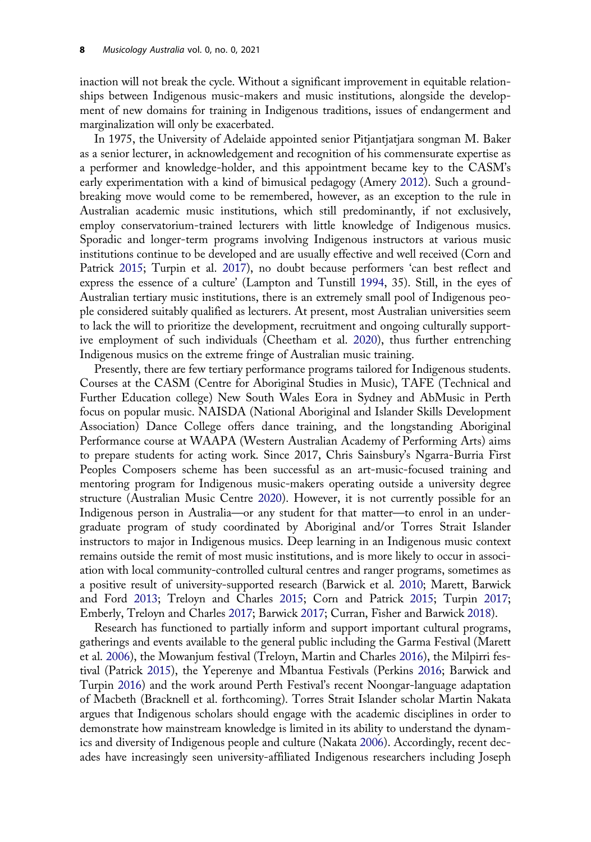<span id="page-9-0"></span>inaction will not break the cycle. Without a significant improvement in equitable relationships between Indigenous music-makers and music institutions, alongside the development of new domains for training in Indigenous traditions, issues of endangerment and marginalization will only be exacerbated.

In 1975, the University of Adelaide appointed senior Pitjantjatjara songman M. Baker as a senior lecturer, in acknowledgement and recognition of his commensurate expertise as a performer and knowledge-holder, and this appointment became key to the CASM's early experimentation with a kind of bimusical pedagogy (Amery [2012\)](#page-11-0). Such a groundbreaking move would come to be remembered, however, as an exception to the rule in Australian academic music institutions, which still predominantly, if not exclusively, employ conservatorium-trained lecturers with little knowledge of Indigenous musics. Sporadic and longer-term programs involving Indigenous instructors at various music institutions continue to be developed and are usually effective and well received (Corn and Patrick [2015;](#page-12-0) Turpin et al. [2017\)](#page-15-0), no doubt because performers 'can best reflect and express the essence of a culture' (Lampton and Tunstill [1994,](#page-14-0) 35). Still, in the eyes of Australian tertiary music institutions, there is an extremely small pool of Indigenous people considered suitably qualified as lecturers. At present, most Australian universities seem to lack the will to prioritize the development, recruitment and ongoing culturally supportive employment of such individuals (Cheetham et al. [2020\)](#page-12-0), thus further entrenching Indigenous musics on the extreme fringe of Australian music training.

Presently, there are few tertiary performance programs tailored for Indigenous students. Courses at the CASM (Centre for Aboriginal Studies in Music), TAFE (Technical and Further Education college) New South Wales Eora in Sydney and AbMusic in Perth focus on popular music. NAISDA (National Aboriginal and Islander Skills Development Association) Dance College offers dance training, and the longstanding Aboriginal Performance course at WAAPA (Western Australian Academy of Performing Arts) aims to prepare students for acting work. Since 2017, Chris Sainsbury's Ngarra-Burria First Peoples Composers scheme has been successful as an art-music-focused training and mentoring program for Indigenous music-makers operating outside a university degree structure (Australian Music Centre [2020](#page-11-0)). However, it is not currently possible for an Indigenous person in Australia—or any student for that matter—to enrol in an undergraduate program of study coordinated by Aboriginal and/or Torres Strait Islander instructors to major in Indigenous musics. Deep learning in an Indigenous music context remains outside the remit of most music institutions, and is more likely to occur in association with local community-controlled cultural centres and ranger programs, sometimes as a positive result of university-supported research (Barwick et al. [2010](#page-12-0); Marett, Barwick and Ford [2013;](#page-14-0) Treloyn and Charles [2015](#page-15-0); Corn and Patrick [2015](#page-12-0); Turpin [2017](#page-15-0); Emberly, Treloyn and Charles [2017;](#page-13-0) Barwick [2017;](#page-11-0) Curran, Fisher and Barwick [2018](#page-13-0)).

Research has functioned to partially inform and support important cultural programs, gatherings and events available to the general public including the Garma Festival (Marett et al. [2006](#page-14-0)), the Mowanjum festival (Treloyn, Martin and Charles [2016](#page-15-0)), the Milpirri festival (Patrick [2015\)](#page-15-0), the Yeperenye and Mbantua Festivals (Perkins [2016;](#page-15-0) Barwick and Turpin [2016](#page-12-0)) and the work around Perth Festival's recent Noongar-language adaptation of Macbeth (Bracknell et al. forthcoming). Torres Strait Islander scholar Martin Nakata argues that Indigenous scholars should engage with the academic disciplines in order to demonstrate how mainstream knowledge is limited in its ability to understand the dynamics and diversity of Indigenous people and culture (Nakata [2006](#page-14-0)). Accordingly, recent decades have increasingly seen university-affiliated Indigenous researchers including Joseph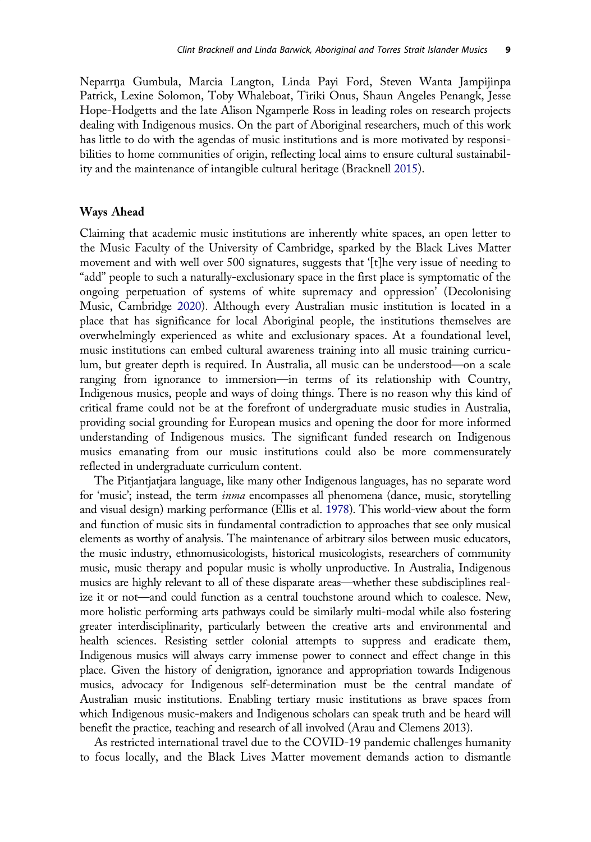<span id="page-10-0"></span>Neparr˛a Gumbula, Marcia Langton, Linda Payi Ford, Steven Wanta Jampijinpa Patrick, Lexine Solomon, Toby Whaleboat, Tiriki Onus, Shaun Angeles Penangk, Jesse Hope-Hodgetts and the late Alison Ngamperle Ross in leading roles on research projects dealing with Indigenous musics. On the part of Aboriginal researchers, much of this work has little to do with the agendas of music institutions and is more motivated by responsibilities to home communities of origin, reflecting local aims to ensure cultural sustainability and the maintenance of intangible cultural heritage (Bracknell [2015\)](#page-12-0).

#### Ways Ahead

Claiming that academic music institutions are inherently white spaces, an open letter to the Music Faculty of the University of Cambridge, sparked by the Black Lives Matter movement and with well over 500 signatures, suggests that '[t]he very issue of needing to "add" people to such a naturally-exclusionary space in the first place is symptomatic of the ongoing perpetuation of systems of white supremacy and oppression' (Decolonising Music, Cambridge [2020\)](#page-13-0). Although every Australian music institution is located in a place that has significance for local Aboriginal people, the institutions themselves are overwhelmingly experienced as white and exclusionary spaces. At a foundational level, music institutions can embed cultural awareness training into all music training curriculum, but greater depth is required. In Australia, all music can be understood—on a scale ranging from ignorance to immersion—in terms of its relationship with Country, Indigenous musics, people and ways of doing things. There is no reason why this kind of critical frame could not be at the forefront of undergraduate music studies in Australia, providing social grounding for European musics and opening the door for more informed understanding of Indigenous musics. The significant funded research on Indigenous musics emanating from our music institutions could also be more commensurately reflected in undergraduate curriculum content.

The Pitjantjatjara language, like many other Indigenous languages, has no separate word for 'music'; instead, the term *inma* encompasses all phenomena (dance, music, storytelling and visual design) marking performance (Ellis et al. [1978](#page-13-0)). This world-view about the form and function of music sits in fundamental contradiction to approaches that see only musical elements as worthy of analysis. The maintenance of arbitrary silos between music educators, the music industry, ethnomusicologists, historical musicologists, researchers of community music, music therapy and popular music is wholly unproductive. In Australia, Indigenous musics are highly relevant to all of these disparate areas—whether these subdisciplines realize it or not—and could function as a central touchstone around which to coalesce. New, more holistic performing arts pathways could be similarly multi-modal while also fostering greater interdisciplinarity, particularly between the creative arts and environmental and health sciences. Resisting settler colonial attempts to suppress and eradicate them, Indigenous musics will always carry immense power to connect and effect change in this place. Given the history of denigration, ignorance and appropriation towards Indigenous musics, advocacy for Indigenous self-determination must be the central mandate of Australian music institutions. Enabling tertiary music institutions as brave spaces from which Indigenous music-makers and Indigenous scholars can speak truth and be heard will benefit the practice, teaching and research of all involved (Arau and Clemens 2013).

As restricted international travel due to the COVID-19 pandemic challenges humanity to focus locally, and the Black Lives Matter movement demands action to dismantle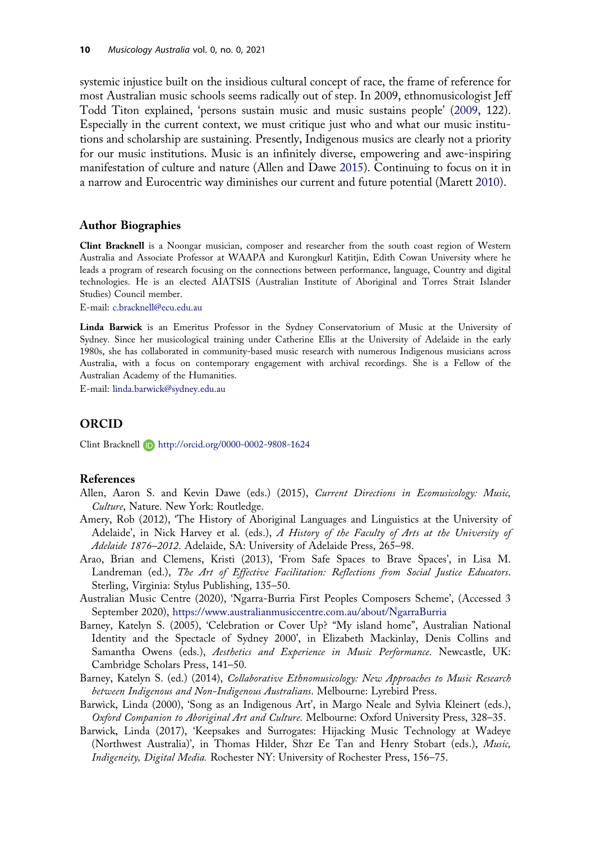<span id="page-11-0"></span>systemic injustice built on the insidious cultural concept of race, the frame of reference for most Australian music schools seems radically out of step. In 2009, ethnomusicologist Jeff Todd Titon explained, 'persons sustain music and music sustains people' [\(2009,](#page-15-0) 122). Especially in the current context, we must critique just who and what our music institutions and scholarship are sustaining. Presently, Indigenous musics are clearly not a priority for our music institutions. Music is an infinitely diverse, empowering and awe-inspiring manifestation of culture and nature (Allen and Dawe 2015). Continuing to focus on it in a narrow and Eurocentric way diminishes our current and future potential (Marett [2010](#page-14-0)).

#### Author Biographies

Clint Bracknell is a Noongar musician, composer and researcher from the south coast region of Western Australia and Associate Professor at WAAPA and Kurongkurl Katitjin, Edith Cowan University where he leads a program of research focusing on the connections between performance, language, Country and digital technologies. He is an elected AIATSIS (Australian Institute of Aboriginal and Torres Strait Islander Studies) Council member.

E-mail: [c.bracknell@ecu.edu.au](mailto:c.bracknell.edu.au)

Linda Barwick is an Emeritus Professor in the Sydney Conservatorium of Music at the University of Sydney. Since her musicological training under Catherine Ellis at the University of Adelaide in the early 1980s, she has collaborated in community-based music research with numerous Indigenous musicians across Australia, with a focus on contemporary engagement with archival recordings. She is a Fellow of the Australian Academy of the Humanities.

E-mail: [linda.barwick@sydney.edu.au](mailto:linda.barwick.edu.au)

#### ORCID

Clint Bracknell **D** http://orcid.org/0000-0002-9808-1624

#### References

- Allen, Aaron S. and Kevin Dawe (eds.) [\(2015](#page-3-0)), Current Directions in Ecomusicology: Music, Culture, Nature. New York: Routledge.
- Amery, Rob [\(2012](#page-9-0)), 'The History of Aboriginal Languages and Linguistics at the University of Adelaide', in Nick Harvey et al. (eds.), A History of the Faculty of Arts at the University of Adelaide 1876–2012. Adelaide, SA: University of Adelaide Press, 265–98.
- Arao, Brian and Clemens, Kristi (2013), 'From Safe Spaces to Brave Spaces', in Lisa M. Landreman (ed.), The Art of Effective Facilitation: Reflections from Social Justice Educators. Sterling, Virginia: Stylus Publishing, 135–50.
- Australian Music Centre ([2020\)](#page-9-0), 'Ngarra-Burria First Peoples Composers Scheme', (Accessed 3 September 2020), <https://www.australianmusiccentre.com.au/about/NgarraBurria>
- Barney, Katelyn S. ([2005\)](#page-4-0), 'Celebration or Cover Up? "My island home", Australian National Identity and the Spectacle of Sydney 2000', in Elizabeth Mackinlay, Denis Collins and Samantha Owens (eds.), Aesthetics and Experience in Music Performance. Newcastle, UK: Cambridge Scholars Press, 141–50.
- Barney, Katelyn S. (ed.) ([2014\)](#page-3-0), Collaborative Ethnomusicology: New Approaches to Music Research between Indigenous and Non-Indigenous Australians. Melbourne: Lyrebird Press.
- Barwick, Linda [\(2000](#page-4-0)), 'Song as an Indigenous Art', in Margo Neale and Sylvia Kleinert (eds.), Oxford Companion to Aboriginal Art and Culture. Melbourne: Oxford University Press, 328–35.
- Barwick, Linda [\(2017](#page-9-0)), 'Keepsakes and Surrogates: Hijacking Music Technology at Wadeye (Northwest Australia)', in Thomas Hilder, Shzr Ee Tan and Henry Stobart (eds.), Music, Indigeneity, Digital Media. Rochester NY: University of Rochester Press, 156–75.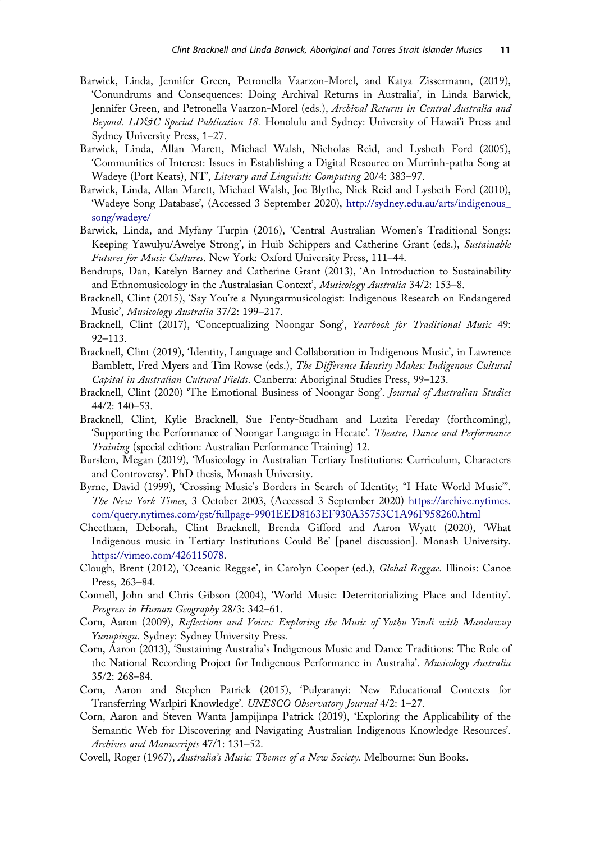- <span id="page-12-0"></span>Barwick, Linda, Jennifer Green, Petronella Vaarzon-Morel, and Katya Zissermann, [\(2019](#page-3-0)), 'Conundrums and Consequences: Doing Archival Returns in Australia', in Linda Barwick, Jennifer Green, and Petronella Vaarzon-Morel (eds.), Archival Returns in Central Australia and Beyond. LD&C Special Publication 18. Honolulu and Sydney: University of Hawai'i Press and Sydney University Press, 1–27.
- Barwick, Linda, Allan Marett, Michael Walsh, Nicholas Reid, and Lysbeth Ford [\(2005](#page-3-0)), 'Communities of Interest: Issues in Establishing a Digital Resource on Murrinh-patha Song at Wadeye (Port Keats), NT', Literary and Linguistic Computing 20/4: 383–97.
- Barwick, Linda, Allan Marett, Michael Walsh, Joe Blythe, Nick Reid and Lysbeth Ford [\(2010](#page-9-0)), 'Wadeye Song Database', (Accessed 3 September 2020), [http://sydney.edu.au/arts/indigenous\\_](http://sydney.edu.au/arts/indigenous_song/wadeye/) [song/wadeye/](http://sydney.edu.au/arts/indigenous_song/wadeye/)
- Barwick, Linda, and Myfany Turpin ([2016\)](#page-7-0), 'Central Australian Women's Traditional Songs: Keeping Yawulyu/Awelye Strong', in Huib Schippers and Catherine Grant (eds.), Sustainable Futures for Music Cultures. New York: Oxford University Press, 111–44.
- Bendrups, Dan, Katelyn Barney and Catherine Grant ([2013\)](#page-3-0), 'An Introduction to Sustainability and Ethnomusicology in the Australasian Context', Musicology Australia 34/2: 153-8.
- Bracknell, Clint [\(2015](#page-10-0)), 'Say You're a Nyungarmusicologist: Indigenous Research on Endangered Music', Musicology Australia 37/2: 199–217.
- Bracknell, Clint [\(2017](#page-4-0)), 'Conceptualizing Noongar Song', Yearbook for Traditional Music 49: 92–113.
- Bracknell, Clint ([2019\)](#page-4-0), 'Identity, Language and Collaboration in Indigenous Music', in Lawrence Bamblett, Fred Myers and Tim Rowse (eds.), The Difference Identity Makes: Indigenous Cultural Capital in Australian Cultural Fields. Canberra: Aboriginal Studies Press, 99–123.
- Bracknell, Clint ([2020\)](#page-3-0) 'The Emotional Business of Noongar Song'. Journal of Australian Studies 44/2: 140–53.
- Bracknell, Clint, Kylie Bracknell, Sue Fenty-Studham and Luzita Fereday (forthcoming), 'Supporting the Performance of Noongar Language in Hecate'. Theatre, Dance and Performance Training (special edition: Australian Performance Training) 12.
- Burslem, Megan [\(2019](#page-7-0)), 'Musicology in Australian Tertiary Institutions: Curriculum, Characters and Controversy'. PhD thesis, Monash University.
- Byrne, David [\(1999](#page-5-0)), 'Crossing Music's Borders in Search of Identity; "I Hate World Music"'. The New York Times, 3 October 2003, (Accessed 3 September 2020) [https://archive.nytimes.](https://archive.nytimes.com/query.nytimes.com/gst/fullpage-9901EED8163EF930A35753C1A96F958260.html) [com/query.nytimes.com/gst/fullpage-9901EED8163EF930A35753C1A96F958260.html](https://archive.nytimes.com/query.nytimes.com/gst/fullpage-9901EED8163EF930A35753C1A96F958260.html)
- Cheetham, Deborah, Clint Bracknell, Brenda Gifford and Aaron Wyatt ([2020\)](#page-9-0), 'What Indigenous music in Tertiary Institutions Could Be' [panel discussion]. Monash University. [https://vimeo.com/426115078.](https://vimeo.com/426115078)
- Clough, Brent [\(2012](#page-4-0)), 'Oceanic Reggae', in Carolyn Cooper (ed.), Global Reggae. Illinois: Canoe Press, 263–84.
- Connell, John and Chris Gibson [\(2004](#page-5-0)), 'World Music: Deterritorializing Place and Identity'. Progress in Human Geography 28/3: 342–61.
- Corn, Aaron ([2009\)](#page-4-0), Reflections and Voices: Exploring the Music of Yothu Yindi with Mandawuy Yunupingu. Sydney: Sydney University Press.
- Corn, Aaron [\(2013](#page-3-0)), 'Sustaining Australia's Indigenous Music and Dance Traditions: The Role of the National Recording Project for Indigenous Performance in Australia'. Musicology Australia 35/2: 268–84.
- Corn, Aaron and Stephen Patrick ([2015\)](#page-9-0), 'Pulyaranyi: New Educational Contexts for Transferring Warlpiri Knowledge'. UNESCO Observatory Journal 4/2: 1–27.
- Corn, Aaron and Steven Wanta Jampijinpa Patrick ([2019\)](#page-3-0), 'Exploring the Applicability of the Semantic Web for Discovering and Navigating Australian Indigenous Knowledge Resources'. Archives and Manuscripts 47/1: 131–52.
- Covell, Roger ([1967\)](#page-5-0), Australia's Music: Themes of a New Society. Melbourne: Sun Books.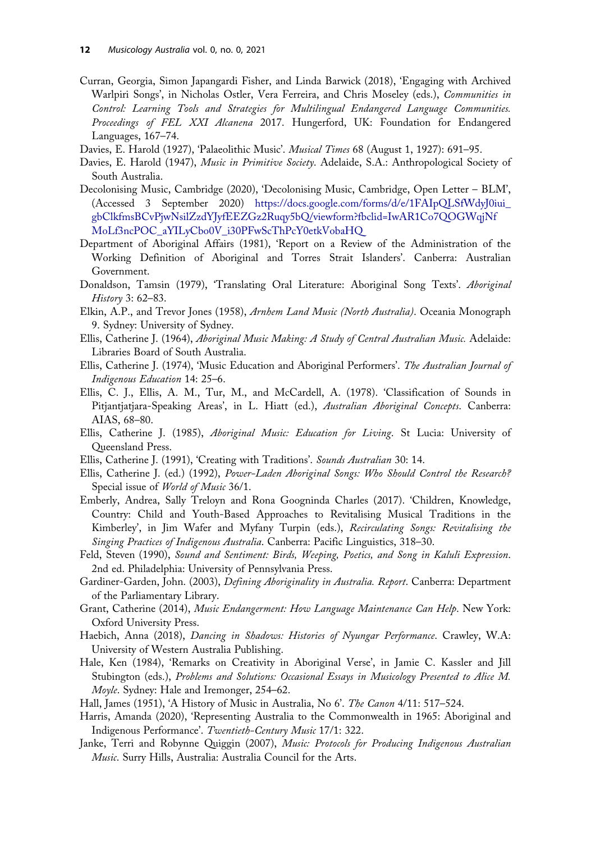- <span id="page-13-0"></span>Curran, Georgia, Simon Japangardi Fisher, and Linda Barwick [\(2018](#page-9-0)), 'Engaging with Archived Warlpiri Songs', in Nicholas Ostler, Vera Ferreira, and Chris Moseley (eds.), Communities in Control: Learning Tools and Strategies for Multilingual Endangered Language Communities. Proceedings of FEL XXI Alcanena 2017. Hungerford, UK: Foundation for Endangered Languages, 167–74.
- Davies, E. Harold [\(1927](#page-6-0)), 'Palaeolithic Music'. Musical Times 68 (August 1, 1927): 691-95.
- Davies, E. Harold ([1947\)](#page-6-0), Music in Primitive Society. Adelaide, S.A.: Anthropological Society of South Australia.
- Decolonising Music, Cambridge [\(2020](#page-10-0)), 'Decolonising Music, Cambridge, Open Letter BLM', (Accessed 3 September 2020) [https://docs.google.com/forms/d/e/1FAIpQLSfWdyJ0iui\\_](https://docs.google.com/forms/d/e/1FAIpQLSfWdyJ0iui_gbClkfmsBCvPjwNsilZzdYJyfEEZGz2Ruqy5bQ/viewform?fbclid=IwAR1Co7QOGWqjNfMoLf3ncPOC_aYILyCbo0V_i30PFwScThPcY0etkVobaHQ) [gbClkfmsBCvPjwNsilZzdYJyfEEZGz2Ruqy5bQ/viewform?fbclid=IwAR1Co7QOGWqjNf](https://docs.google.com/forms/d/e/1FAIpQLSfWdyJ0iui_gbClkfmsBCvPjwNsilZzdYJyfEEZGz2Ruqy5bQ/viewform?fbclid=IwAR1Co7QOGWqjNfMoLf3ncPOC_aYILyCbo0V_i30PFwScThPcY0etkVobaHQ) [MoLf3ncPOC\\_aYILyCbo0V\\_i30PFwScThPcY0etkVobaHQ](https://docs.google.com/forms/d/e/1FAIpQLSfWdyJ0iui_gbClkfmsBCvPjwNsilZzdYJyfEEZGz2Ruqy5bQ/viewform?fbclid=IwAR1Co7QOGWqjNfMoLf3ncPOC_aYILyCbo0V_i30PFwScThPcY0etkVobaHQ)
- Department of Aboriginal Affairs ([1981\)](#page-4-0), 'Report on a Review of the Administration of the Working Definition of Aboriginal and Torres Strait Islanders'. Canberra: Australian Government.
- Donaldson, Tamsin [\(1979](#page-4-0)), 'Translating Oral Literature: Aboriginal Song Texts'. Aboriginal History 3: 62–83.
- Elkin, A.P., and Trevor Jones ([1958\)](#page-6-0), Arnhem Land Music (North Australia). Oceania Monograph 9. Sydney: University of Sydney.
- Ellis, Catherine J. ([1964\)](#page-6-0), Aboriginal Music Making: A Study of Central Australian Music. Adelaide: Libraries Board of South Australia.
- Ellis, Catherine J. [\(1974](#page-3-0)), 'Music Education and Aboriginal Performers'. The Australian Journal of Indigenous Education 14: 25–6.
- Ellis, C. J., Ellis, A. M., Tur, M., and McCardell, A. [\(1978](#page-10-0)). 'Classification of Sounds in Pitjantjatjara-Speaking Areas', in L. Hiatt (ed.), Australian Aboriginal Concepts. Canberra: AIAS, 68–80.
- Ellis, Catherine J. ([1985\)](#page-2-0), Aboriginal Music: Education for Living. St Lucia: University of Queensland Press.
- Ellis, Catherine J. ([1991\)](#page-6-0), 'Creating with Traditions'. Sounds Australian 30: 14.
- Ellis, Catherine J. (ed.) ([1992\)](#page-3-0), Power-Laden Aboriginal Songs: Who Should Control the Research? Special issue of *World of Music* 36/1.
- Emberly, Andrea, Sally Treloyn and Rona Googninda Charles ([2017\)](#page-3-0). 'Children, Knowledge, Country: Child and Youth-Based Approaches to Revitalising Musical Traditions in the Kimberley', in Jim Wafer and Myfany Turpin (eds.), Recirculating Songs: Revitalising the Singing Practices of Indigenous Australia. Canberra: Pacific Linguistics, 318-30.
- Feld, Steven [\(1990](#page-3-0)), Sound and Sentiment: Birds, Weeping, Poetics, and Song in Kaluli Expression. 2nd ed. Philadelphia: University of Pennsylvania Press.
- Gardiner-Garden, John. ([2003\)](#page-4-0), *Defining Aboriginality in Australia. Report*. Canberra: Department of the Parliamentary Library.
- Grant, Catherine ([2014\)](#page-3-0), Music Endangerment: How Language Maintenance Can Help. New York: Oxford University Press.
- Haebich, Anna [\(2018](#page-2-0)), Dancing in Shadows: Histories of Nyungar Performance. Crawley, W.A: University of Western Australia Publishing.
- Hale, Ken ([1984\)](#page-4-0), 'Remarks on Creativity in Aboriginal Verse', in Jamie C. Kassler and Jill Stubington (eds.), Problems and Solutions: Occasional Essays in Musicology Presented to Alice M. Moyle. Sydney: Hale and Iremonger, 254–62.
- Hall, James ([1951\)](#page-5-0), 'A History of Music in Australia, No 6'. The Canon 4/11: 517–524.
- Harris, Amanda [\(2020](#page-2-0)), 'Representing Australia to the Commonwealth in 1965: Aboriginal and Indigenous Performance'. Twentieth-Century Music 17/1: 322.
- Janke, Terri and Robynne Quiggin ([2007\)](#page-4-0), Music: Protocols for Producing Indigenous Australian Music. Surry Hills, Australia: Australia Council for the Arts.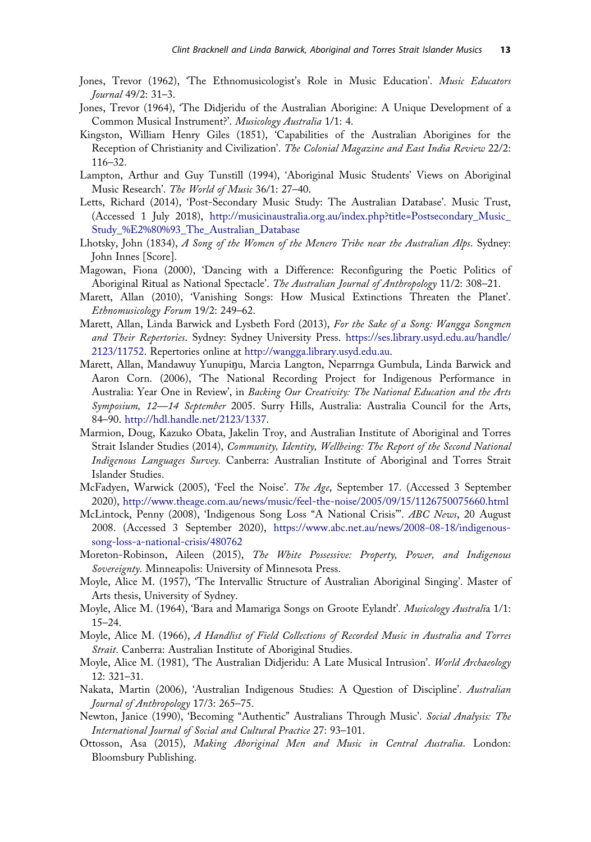- <span id="page-14-0"></span>Jones, Trevor ([1962\)](#page-7-0), 'The Ethnomusicologist's Role in Music Education'. Music Educators Journal 49/2: 31–3.
- Jones, Trevor ([1964\)](#page-6-0), 'The Didjeridu of the Australian Aborigine: A Unique Development of a Common Musical Instrument?'. Musicology Australia 1/1: 4.
- Kingston, William Henry Giles [\(1851](#page-4-0)), 'Capabilities of the Australian Aborigines for the Reception of Christianity and Civilization'. The Colonial Magazine and East India Review 22/2: 116–32.
- Lampton, Arthur and Guy Tunstill [\(1994](#page-9-0)), 'Aboriginal Music Students' Views on Aboriginal Music Research'. The World of Music 36/1: 27–40.
- Letts, Richard [\(2014](#page-7-0)), 'Post-Secondary Music Study: The Australian Database'. Music Trust, (Accessed 1 July 2018), [http://musicinaustralia.org.au/index.php?title=Postsecondary\\_Music\\_](http://musicinaustralia.org.au/index.php?title=Postsecondary_Music_Study_%E2%80%93_The_Australian_Database) [Study\\_%E2%80%93\\_The\\_Australian\\_Database](http://musicinaustralia.org.au/index.php?title=Postsecondary_Music_Study_%E2%80%93_The_Australian_Database)
- Lhotsky, John [\(1834](#page-4-0)), A Song of the Women of the Menero Tribe near the Australian Alps. Sydney: John Innes [Score].
- Magowan, Fiona [\(2000](#page-5-0)), 'Dancing with a Difference: Reconfiguring the Poetic Politics of Aboriginal Ritual as National Spectacle'. The Australian Journal of Anthropology 11/2: 308-21.
- Marett, Allan ([2010\)](#page-2-0), 'Vanishing Songs: How Musical Extinctions Threaten the Planet'. Ethnomusicology Forum 19/2: 249–62.
- Marett, Allan, Linda Barwick and Lysbeth Ford [\(2013](#page-9-0)), For the Sake of a Song: Wangga Songmen and Their Repertories. Sydney: Sydney University Press. [https://ses.library.usyd.edu.au/handle/](https://ses.library.usyd.edu.au/handle/2123/11752) [2123/11752](https://ses.library.usyd.edu.au/handle/2123/11752). Repertories online at <http://wangga.library.usyd.edu.au>.
- Marett, Allan, Mandawuy Yunupinu, Marcia Langton, Neparrnga Gumbula, Linda Barwick and Aaron Corn. ([2006\)](#page-3-0), 'The National Recording Project for Indigenous Performance in Australia: Year One in Review', in Backing Our Creativity: The National Education and the Arts Symposium, 12-14 September 2005. Surry Hills, Australia: Australia Council for the Arts, 84–90. <http://hdl.handle.net/2123/1337>.
- Marmion, Doug, Kazuko Obata, Jakelin Troy, and Australian Institute of Aboriginal and Torres Strait Islander Studies [\(2014](#page-3-0)), Community, Identity, Wellbeing: The Report of the Second National Indigenous Languages Survey. Canberra: Australian Institute of Aboriginal and Torres Strait Islander Studies.
- McFadyen, Warwick ([2005\)](#page-7-0), 'Feel the Noise'. The Age, September 17. (Accessed 3 September 2020), <http://www.theage.com.au/news/music/feel-the-noise/2005/09/15/1126750075660.html>
- McLintock, Penny ([2008\)](#page-3-0), 'Indigenous Song Loss "A National Crisis"'. ABC News, 20 August 2008. (Accessed 3 September 2020), [https://www.abc.net.au/news/2008-08-18/indigenous](https://www.abc.net.au/news/2008-08-18/indigenous-song-loss-a-national-crisis/480762)[song-loss-a-national-crisis/480762](https://www.abc.net.au/news/2008-08-18/indigenous-song-loss-a-national-crisis/480762)
- Moreton-Robinson, Aileen [\(2015](#page-2-0)), The White Possessive: Property, Power, and Indigenous Sovereignty. Minneapolis: University of Minnesota Press.
- Moyle, Alice M. [\(1957](#page-6-0)), 'The Intervallic Structure of Australian Aboriginal Singing'. Master of Arts thesis, University of Sydney.
- Moyle, Alice M. [\(1964](#page-6-0)), 'Bara and Mamariga Songs on Groote Eylandt'. Musicology Australia 1/1: 15–24.
- Moyle, Alice M. [\(1966](#page-6-0)), A Handlist of Field Collections of Recorded Music in Australia and Torres Strait. Canberra: Australian Institute of Aboriginal Studies.
- Moyle, Alice M. [\(1981](#page-7-0)), 'The Australian Didjeridu: A Late Musical Intrusion'. World Archaeology 12: 321–31.
- Nakata, Martin ([2006\)](#page-9-0), 'Australian Indigenous Studies: A Question of Discipline'. Australian Journal of Anthropology 17/3: 265–75.
- Newton, Janice ([1990\)](#page-3-0), 'Becoming "Authentic" Australians Through Music'. Social Analysis: The International Journal of Social and Cultural Practice 27: 93–101.
- Ottosson, Asa ([2015\)](#page-3-0), Making Aboriginal Men and Music in Central Australia. London: Bloomsbury Publishing.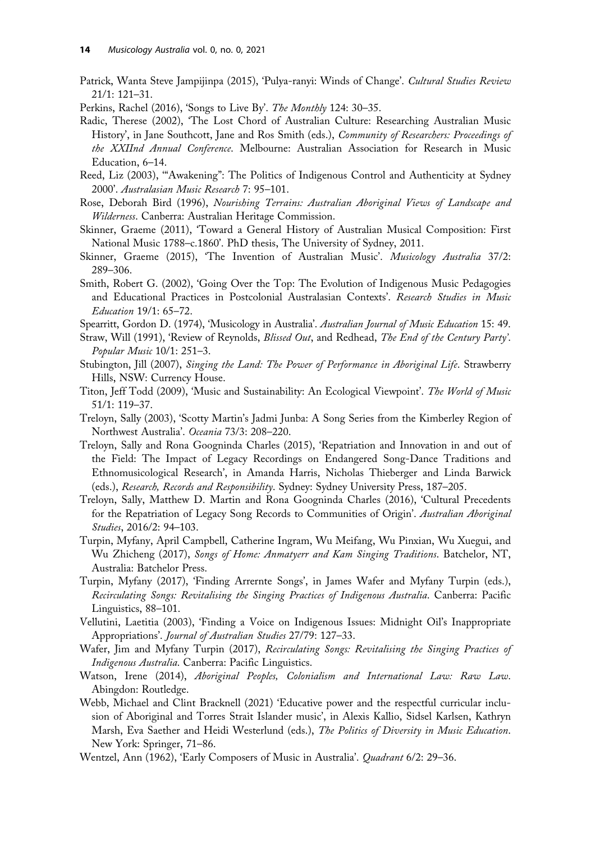- <span id="page-15-0"></span>Patrick, Wanta Steve Jampijinpa ([2015\)](#page-4-0), 'Pulya-ranyi: Winds of Change'. Cultural Studies Review 21/1: 121–31.
- Perkins, Rachel [\(2016](#page-9-0)), 'Songs to Live By'. The Monthly 124: 30–35.
- Radic, Therese ([2002\)](#page-3-0), 'The Lost Chord of Australian Culture: Researching Australian Music History', in Jane Southcott, Jane and Ros Smith (eds.), *Community of Researchers: Proceedings of* the XXIInd Annual Conference. Melbourne: Australian Association for Research in Music Education, 6–14.
- Reed, Liz [\(2003](#page-4-0)), '"Awakening": The Politics of Indigenous Control and Authenticity at Sydney 2000'. Australasian Music Research 7: 95–101.
- Rose, Deborah Bird ([1996\)](#page-2-0), Nourishing Terrains: Australian Aboriginal Views of Landscape and Wilderness. Canberra: Australian Heritage Commission.
- Skinner, Graeme [\(2011](#page-5-0)), 'Toward a General History of Australian Musical Composition: First National Music 1788–c.1860'. PhD thesis, The University of Sydney, 2011.
- Skinner, Graeme ([2015\)](#page-3-0), 'The Invention of Australian Music'. Musicology Australia 37/2: 289–306.
- Smith, Robert G. [\(2002](#page-8-0)), 'Going Over the Top: The Evolution of Indigenous Music Pedagogies and Educational Practices in Postcolonial Australasian Contexts'. Research Studies in Music Education 19/1: 65–72.
- Spearritt, Gordon D. [\(1974\)](#page-5-0), 'Musicology in Australia'. Australian Journal of Music Education 15: 49.
- Straw, Will ([1991\)](#page-4-0), 'Review of Reynolds, *Blissed Out*, and Redhead, The End of the Century Party'. Popular Music 10/1: 251–3.
- Stubington, Jill ([2007\)](#page-2-0), Singing the Land: The Power of Performance in Aboriginal Life. Strawberry Hills, NSW: Currency House.
- Titon, Jeff Todd ([2009\)](#page-11-0), 'Music and Sustainability: An Ecological Viewpoint'. The World of Music 51/1: 119–37.
- Treloyn, Sally ([2003\)](#page-4-0), 'Scotty Martin's Jadmi Junba: A Song Series from the Kimberley Region of Northwest Australia'. Oceania 73/3: 208–220.
- Treloyn, Sally and Rona Googninda Charles ([2015\)](#page-9-0), 'Repatriation and Innovation in and out of the Field: The Impact of Legacy Recordings on Endangered Song-Dance Traditions and Ethnomusicological Research', in Amanda Harris, Nicholas Thieberger and Linda Barwick (eds.), Research, Records and Responsibility. Sydney: Sydney University Press, 187–205.
- Treloyn, Sally, Matthew D. Martin and Rona Googninda Charles ([2016\)](#page-9-0), 'Cultural Precedents for the Repatriation of Legacy Song Records to Communities of Origin'. Australian Aboriginal Studies, 2016/2: 94–103.
- Turpin, Myfany, April Campbell, Catherine Ingram, Wu Meifang, Wu Pinxian, Wu Xuegui, and Wu Zhicheng ([2017\)](#page-9-0), Songs of Home: Anmatyerr and Kam Singing Traditions. Batchelor, NT, Australia: Batchelor Press.
- Turpin, Myfany ([2017\)](#page-9-0), 'Finding Arrernte Songs', in James Wafer and Myfany Turpin (eds.), Recirculating Songs: Revitalising the Singing Practices of Indigenous Australia. Canberra: Pacific Linguistics, 88–101.
- Vellutini, Laetitia [\(2003](#page-7-0)), 'Finding a Voice on Indigenous Issues: Midnight Oil's Inappropriate Appropriations'. Journal of Australian Studies 27/79: 127–33.
- Wafer, Jim and Myfany Turpin [\(2017](#page-3-0)), Recirculating Songs: Revitalising the Singing Practices of Indigenous Australia. Canberra: Pacific Linguistics.
- Watson, Irene ([2014\)](#page-2-0), Aboriginal Peoples, Colonialism and International Law: Raw Law. Abingdon: Routledge.
- Webb, Michael and Clint Bracknell [\(2021](#page-7-0)) 'Educative power and the respectful curricular inclusion of Aboriginal and Torres Strait Islander music', in Alexis Kallio, Sidsel Karlsen, Kathryn Marsh, Eva Saether and Heidi Westerlund (eds.), The Politics of Diversity in Music Education. New York: Springer, 71–86.
- Wentzel, Ann [\(1962](#page-5-0)), 'Early Composers of Music in Australia'. Quadrant 6/2: 29-36.